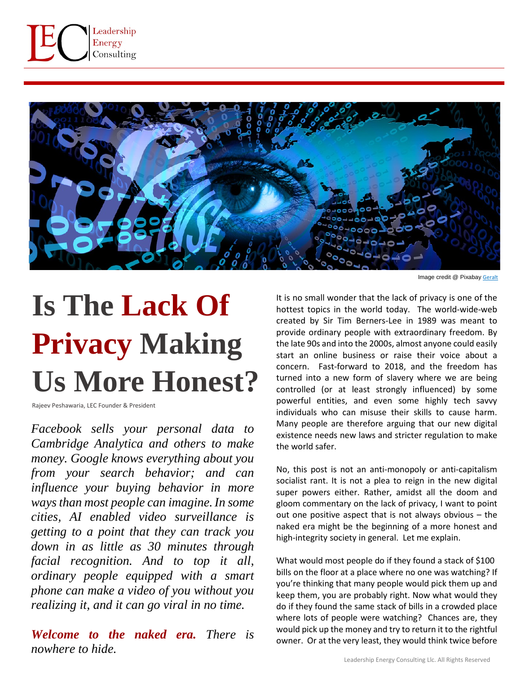



Image credit @ Pixabay [Geralt](https://pixabay.com/illustrations/binary-one-eye-sense-zero-1790842/) 

## **Is The Lack Of Privacy Making Us More Honest?**

Rajeev Peshawaria, LEC Founder & President

*Facebook sells your personal data to Cambridge Analytica and others to make money. Google knows everything about you from your search behavior; and can influence your buying behavior in more ways than most people can imagine.In some cities, AI enabled video surveillance is getting to a point that they can track you down in as little as 30 minutes through facial recognition. And to top it all, ordinary people equipped with a smart phone can make a video of you without you realizing it, and it can go viral in no time.*

*Welcome to the naked era. There is nowhere to hide.*

It is no small wonder that the lack of privacy is one of the hottest topics in the world today. The world-wide-web created by Sir Tim Berners-Lee in 1989 was meant to provide ordinary people with extraordinary freedom. By the late 90s and into the 2000s, almost anyone could easily start an online business or raise their voice about a concern. Fast-forward to 2018, and the freedom has turned into a new form of slavery where we are being controlled (or at least strongly influenced) by some powerful entities, and even some highly tech savvy individuals who can misuse their skills to cause harm. Many people are therefore arguing that our new digital existence needs new laws and stricter regulation to make the world safer.

No, this post is not an anti-monopoly or anti-capitalism socialist rant. It is not a plea to reign in the new digital super powers either. Rather, amidst all the doom and gloom commentary on the lack of privacy, I want to point out one positive aspect that is not always obvious – the naked era might be the beginning of a more honest and high-integrity society in general. Let me explain.

What would most people do if they found a stack of \$100 bills on the floor at a place where no one was watching? If you're thinking that many people would pick them up and keep them, you are probably right. Now what would they do if they found the same stack of bills in a crowded place where lots of people were watching? Chances are, they would pick up the money and try to return it to the rightful owner. Or at the very least, they would think twice before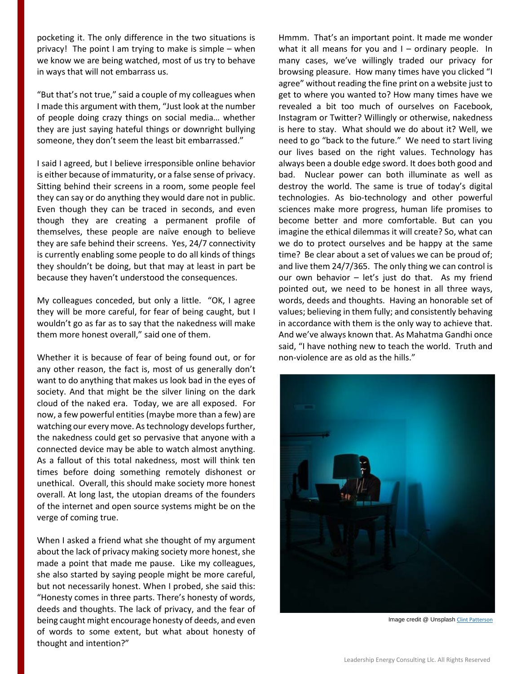pocketing it. The only difference in the two situations is privacy! The point I am trying to make is simple – when we know we are being watched, most of us try to behave in ways that will not embarrass us.

"But that's not true," said a couple of my colleagues when I made this argument with them, "Just look at the number of people doing crazy things on social media… whether they are just saying hateful things or downright bullying someone, they don't seem the least bit embarrassed."

I said I agreed, but I believe irresponsible online behavior is either because of immaturity, or a false sense of privacy. Sitting behind their screens in a room, some people feel they can say or do anything they would dare not in public. Even though they can be traced in seconds, and even though they are creating a permanent profile of themselves, these people are naïve enough to believe they are safe behind their screens. Yes, 24/7 connectivity is currently enabling some people to do all kinds of things they shouldn't be doing, but that may at least in part be because they haven't understood the consequences.

My colleagues conceded, but only a little. "OK, I agree they will be more careful, for fear of being caught, but I wouldn't go as far as to say that the nakedness will make them more honest overall," said one of them.

Whether it is because of fear of being found out, or for any other reason, the fact is, most of us generally don't want to do anything that makes us look bad in the eyes of society. And that might be the silver lining on the dark cloud of the naked era. Today, we are all exposed. For now, a few powerful entities (maybe more than a few) are watching our every move. As technology develops further, the nakedness could get so pervasive that anyone with a connected device may be able to watch almost anything. As a fallout of this total nakedness, most will think ten times before doing something remotely dishonest or unethical. Overall, this should make society more honest overall. At long last, the utopian dreams of the founders of the internet and open source systems might be on the verge of coming true.

When I asked a friend what she thought of my argument about the lack of privacy making society more honest, she made a point that made me pause. Like my colleagues, she also started by saying people might be more careful, but not necessarily honest. When I probed, she said this: "Honesty comes in three parts. There's honesty of words, deeds and thoughts. The lack of privacy, and the fear of being caught might encourage honesty of deeds, and even of words to some extent, but what about honesty of thought and intention?"

Hmmm. That's an important point. It made me wonder what it all means for you and  $I -$  ordinary people. In many cases, we've willingly traded our privacy for browsing pleasure. How many times have you clicked "I agree" without reading the fine print on a website just to get to where you wanted to? How many times have we revealed a bit too much of ourselves on Facebook, Instagram or Twitter? Willingly or otherwise, nakedness is here to stay. What should we do about it? Well, we need to go "back to the future." We need to start living our lives based on the right values. Technology has always been a double edge sword. It does both good and bad. Nuclear power can both illuminate as well as destroy the world. The same is true of today's digital technologies. As bio-technology and other powerful sciences make more progress, human life promises to become better and more comfortable. But can you imagine the ethical dilemmas it will create? So, what can we do to protect ourselves and be happy at the same time? Be clear about a set of values we can be proud of; and live them 24/7/365. The only thing we can control is our own behavior – let's just do that. As my friend pointed out, we need to be honest in all three ways, words, deeds and thoughts. Having an honorable set of values; believing in them fully; and consistently behaving in accordance with them is the only way to achieve that. And we've always known that. As Mahatma Gandhi once said, "I have nothing new to teach the world. Truth and non-violence are as old as the hills."



Image credit @ Unsplash [Clint Patterson](https://unsplash.com/photos/dYEuFB8KQJk)